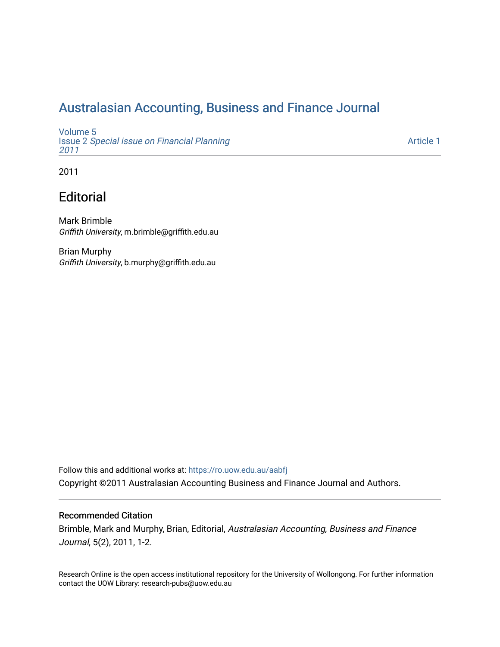## [Australasian Accounting, Business and Finance Journal](https://ro.uow.edu.au/aabfj)

[Volume 5](https://ro.uow.edu.au/aabfj/vol5) Issue 2 [Special issue on Financial Planning](https://ro.uow.edu.au/aabfj/vol5/iss2) [2011](https://ro.uow.edu.au/aabfj/vol5/iss2) 

[Article 1](https://ro.uow.edu.au/aabfj/vol5/iss2/1) 

2011

# **Editorial**

Mark Brimble Griffith University, m.brimble@griffith.edu.au

Brian Murphy Griffith University, b.murphy@griffith.edu.au

Follow this and additional works at: [https://ro.uow.edu.au/aabfj](https://ro.uow.edu.au/aabfj?utm_source=ro.uow.edu.au%2Faabfj%2Fvol5%2Fiss2%2F1&utm_medium=PDF&utm_campaign=PDFCoverPages) Copyright ©2011 Australasian Accounting Business and Finance Journal and Authors.

### Recommended Citation

Brimble, Mark and Murphy, Brian, Editorial, Australasian Accounting, Business and Finance Journal, 5(2), 2011, 1-2.

Research Online is the open access institutional repository for the University of Wollongong. For further information contact the UOW Library: research-pubs@uow.edu.au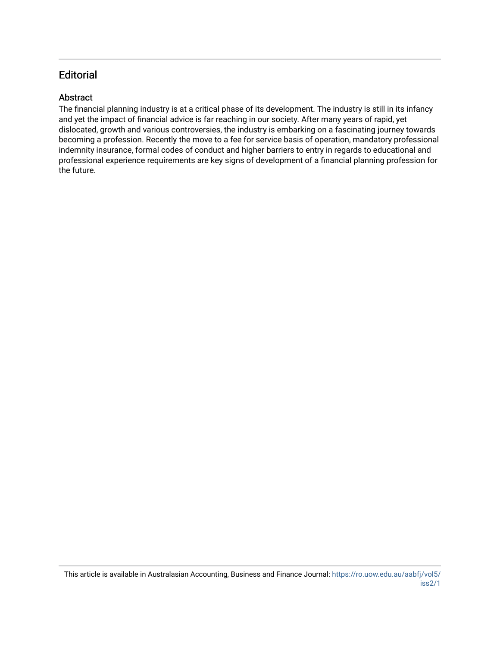## **Editorial**

## **Abstract**

The financial planning industry is at a critical phase of its development. The industry is still in its infancy and yet the impact of financial advice is far reaching in our society. After many years of rapid, yet dislocated, growth and various controversies, the industry is embarking on a fascinating journey towards becoming a profession. Recently the move to a fee for service basis of operation, mandatory professional indemnity insurance, formal codes of conduct and higher barriers to entry in regards to educational and professional experience requirements are key signs of development of a financial planning profession for the future.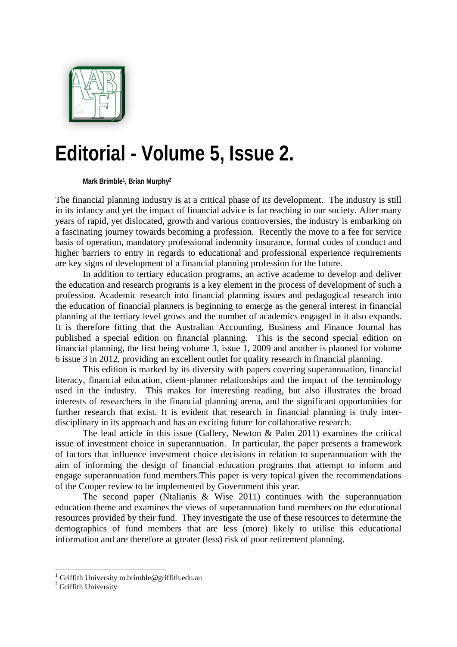

# **Editorial - Volume 5, Issue 2.**

**Mark Brimble1, Brian Murphy2**

The financial planning industry is at a critical phase of its development. The industry is still in its infancy and yet the impact of financial advice is far reaching in our society. After many years of rapid, yet dislocated, growth and various controversies, the industry is embarking on a fascinating journey towards becoming a profession. Recently the move to a fee for service basis of operation, mandatory professional indemnity insurance, formal codes of conduct and higher barriers to entry in regards to educational and professional experience requirements are key signs of development of a financial planning profession for the future.

In addition to tertiary education programs, an active academe to develop and deliver the education and research programs is a key element in the process of development of such a profession. Academic research into financial planning issues and pedagogical research into the education of financial planners is beginning to emerge as the general interest in financial planning at the tertiary level grows and the number of academics engaged in it also expands. It is therefore fitting that the Australian Accounting, Business and Finance Journal has published a special edition on financial planning. This is the second special edition on financial planning, the first being volume 3, issue 1, 2009 and another is planned for volume 6 issue 3 in 2012, providing an excellent outlet for quality research in financial planning.

This edition is marked by its diversity with papers covering superannuation, financial literacy, financial education, client-planner relationships and the impact of the terminology used in the industry. This makes for interesting reading, but also illustrates the broad interests of researchers in the financial planning arena, and the significant opportunities for further research that exist. It is evident that research in financial planning is truly interdisciplinary in its approach and has an exciting future for collaborative research.

The lead article in this issue (Gallery, Newton & Palm 2011) examines the critical issue of investment choice in superannuation. In particular, the paper presents a framework of factors that influence investment choice decisions in relation to superannuation with the aim of informing the design of financial education programs that attempt to inform and engage superannuation fund members.This paper is very topical given the recommendations of the Cooper review to be implemented by Government this year.

The second paper (Ntalianis & Wise 2011) continues with the superannuation education theme and examines the views of superannuation fund members on the educational resources provided by their fund. They investigate the use of these resources to determine the demographics of fund members that are less (more) likely to utilise this educational information and are therefore at greater (less) risk of poor retirement planning.

<sup>1&</sup>lt;br>
<sup>1</sup> Griffith University m.brimble@griffith.edu.au <sup>2</sup> Griffith University